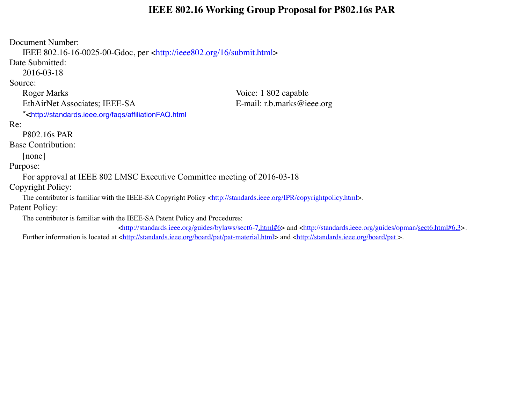#### **IEEE 802.16 Working Group Proposal for P802.16s PAR**

Document Number: IEEE 802.16-16-0025-00-Gdoc, per [<http://ieee802.org/16/submit.html](http://ieee802.org/16/submit.html)> Date Submitted: 2016-03-18 Source: Roger Marks Voice: 1 802 capable EthAirNet Associates; IEEE-SA E-mail: r.b.marks@ieee.org \*[<http://standards.ieee.org/faqs/affiliationFAQ.html](http://standards.ieee.org/faqs/affiliationFAQ.html) Re: P802.16s PAR Base Contribution: [none] Purpose: For approval at IEEE 802 LMSC Executive Committee meeting of 2016-03-18 Copyright Policy: The contributor is familiar with the IEEE-SA Copyright Policy <http://standards.ieee.org/IPR/copyrightpolicy.html>. Patent Policy: The contributor is familiar with the IEEE-SA Patent Policy and Procedures: <http://standards.ieee.org/guides/bylaws/sect6-[7.html#6](http://standards.ieee.org/guides/bylaws/sect6-7.html%236)> and <http://standards.ieee.org/guides/opman[/sect6.html#6.3](http://standards.ieee.org/guides/opman/sect6.html%236.3)>.

Further information is located at <http://standards.jeee.org/board/pat/pat-material.html> and <http://standards.jeee.org/board/pat >.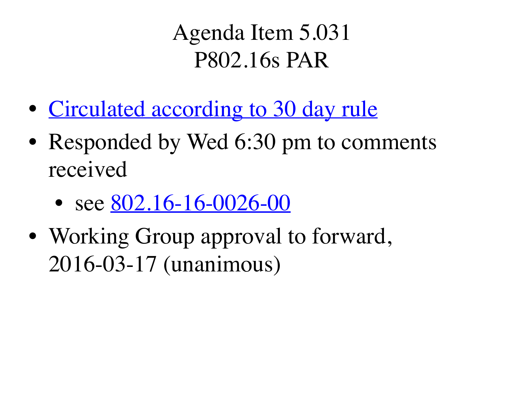Agenda Item 5.031 P802.16s PAR

- [Circulated according to 30 day rule](http://ieee802.org/secmail/msg19887.html)
- Responded by Wed 6:30 pm to comments received
	- see  $802.16 16 0026 00$
- Working Group approval to forward, 2016-03-17 (unanimous)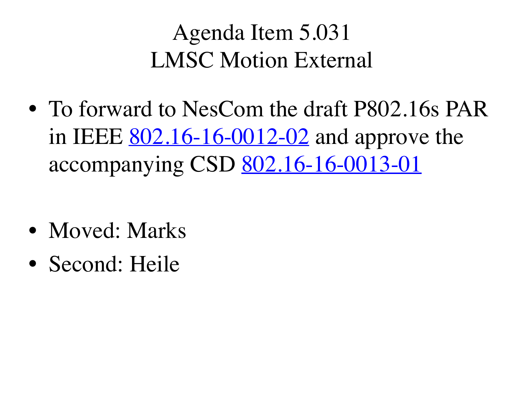## Agenda Item 5.031 LMSC Motion External

- To forward to NesCom the draft P802.16s PAR in IEEE <u>802.16-16-0012-02</u> and approve the accompanying CSD [802.16-16-0013-01](https://mentor.ieee.org/802.16/dcn/16/16-16-0013-01.doc)
- Moved: Marks
- Second: Heile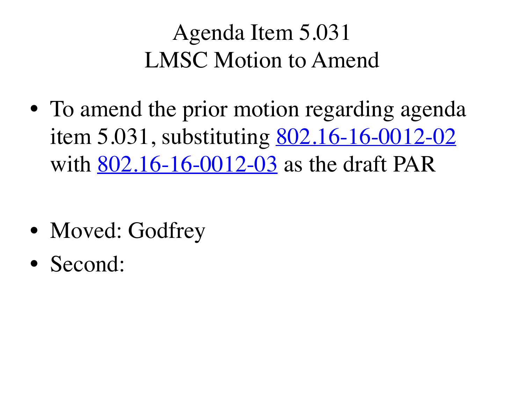# Agenda Item 5.031 LMSC Motion to Amend

• To amend the prior motion regarding agenda item 5.031, substituting <u>802.16-16-0012-02</u> with <u>[802.16-16-0012-03](https://mentor.ieee.org/802.16/dcn/16/16-16-0012-03.doc)</u> as the draft PAR

- Moved: Godfrey
- Second: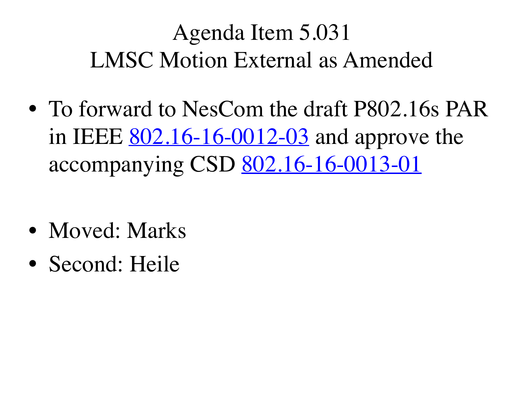# Agenda Item 5.031 LMSC Motion External as Amended

- To forward to NesCom the draft P802.16s PAR in IEEE <u>802.16-16-0012-03</u> and approve the accompanying CSD [802.16-16-0013-01](https://mentor.ieee.org/802.16/dcn/16/16-16-0013-01.doc)
- Moved: Marks
- Second: Heile